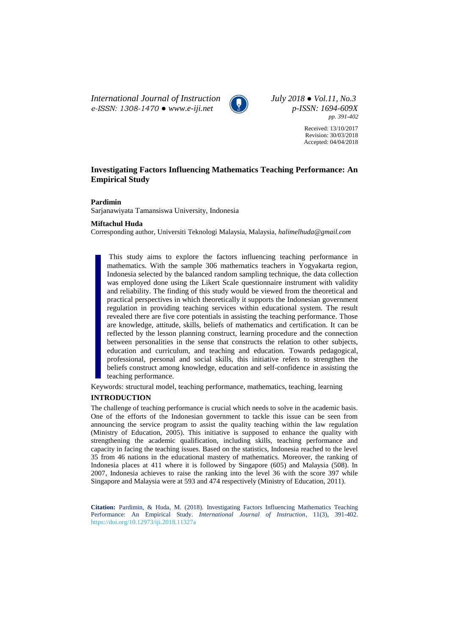*International Journal of Instruction July 2018 ● Vol.11, No.3 e-ISSN: 1308-1470 ● [www.e-iji.net](http://www.e-iji.net/) p-ISSN: 1694-609X*



*pp. 391-402*

Received: 13/10/2017 Revision: 30/03/2018 Accepted: 04/04/2018

# **Investigating Factors Influencing Mathematics Teaching Performance: An Empirical Study**

## **Pardimin**

Sarjanawiyata Tamansiswa University, Indonesia

#### **Miftachul Huda**

Corresponding author, Universiti Teknologi Malaysia, Malaysia, *halimelhuda@gmail.com*

This study aims to explore the factors influencing teaching performance in mathematics. With the sample 306 mathematics teachers in Yogyakarta region, Indonesia selected by the balanced random sampling technique, the data collection was employed done using the Likert Scale questionnaire instrument with validity and reliability. The finding of this study would be viewed from the theoretical and practical perspectives in which theoretically it supports the Indonesian government regulation in providing teaching services within educational system. The result revealed there are five core potentials in assisting the teaching performance. Those are knowledge, attitude, skills, beliefs of mathematics and certification. It can be reflected by the lesson planning construct, learning procedure and the connection between personalities in the sense that constructs the relation to other subjects, education and curriculum, and teaching and education. Towards pedagogical, professional, personal and social skills, this initiative refers to strengthen the beliefs construct among knowledge, education and self-confidence in assisting the teaching performance.

Keywords: structural model, teaching performance, mathematics, teaching, learning

### **INTRODUCTION**

The challenge of teaching performance is crucial which needs to solve in the academic basis. One of the efforts of the Indonesian government to tackle this issue can be seen from announcing the service program to assist the quality teaching within the law regulation (Ministry of Education, 2005). This initiative is supposed to enhance the quality with strengthening the academic qualification, including skills, teaching performance and capacity in facing the teaching issues. Based on the statistics, Indonesia reached to the level 35 from 46 nations in the educational mastery of mathematics. Moreover, the ranking of Indonesia places at 411 where it is followed by Singapore (605) and Malaysia (508). In 2007, Indonesia achieves to raise the ranking into the level 36 with the score 397 while Singapore and Malaysia were at 593 and 474 respectively (Ministry of Education, 2011).

**Citation:** Pardimin, & Huda, M. (2018). Investigating Factors Influencing Mathematics Teaching Performance: An Empirical Study. *International Journal of Instruction*, 11(3), 391-402. <https://doi.org/10.12973/iji.2018.11327a>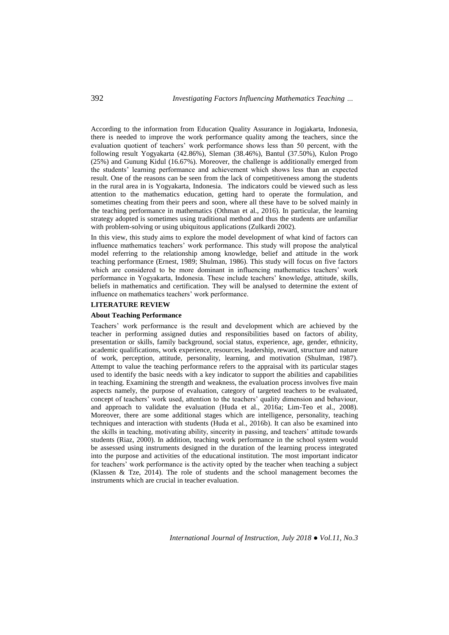According to the information from Education Quality Assurance in Jogjakarta, Indonesia, there is needed to improve the work performance quality among the teachers, since the evaluation quotient of teachers' work performance shows less than 50 percent, with the following result Yogyakarta (42.86%), Sleman (38.46%), Bantul (37.50%), Kulon Progo (25%) and Gunung Kidul (16.67%). Moreover, the challenge is additionally emerged from the students' learning performance and achievement which shows less than an expected result. One of the reasons can be seen from the lack of competitiveness among the students in the rural area in is Yogyakarta, Indonesia. The indicators could be viewed such as less attention to the mathematics education, getting hard to operate the formulation, and sometimes cheating from their peers and soon, where all these have to be solved mainly in the teaching performance in mathematics (Othman et al., 2016). In particular, the learning strategy adopted is sometimes using traditional method and thus the students are unfamiliar with problem-solving or using ubiquitous applications (Zulkardi 2002).

In this view, this study aims to explore the model development of what kind of factors can influence mathematics teachers' work performance. This study will propose the analytical model referring to the relationship among knowledge, belief and attitude in the work teaching performance (Ernest, 1989; Shulman, 1986). This study will focus on five factors which are considered to be more dominant in influencing mathematics teachers' work performance in Yogyakarta, Indonesia. These include teachers' knowledge, attitude, skills, beliefs in mathematics and certification. They will be analysed to determine the extent of influence on mathematics teachers' work performance.

#### **LITERATURE REVIEW**

#### **About Teaching Performance**

Teachers' work performance is the result and development which are achieved by the teacher in performing assigned duties and responsibilities based on factors of ability, presentation or skills, family background, social status, experience, age, gender, ethnicity, academic qualifications, work experience, resources, leadership, reward, structure and nature of work, perception, attitude, personality, learning, and motivation (Shulman, 1987). Attempt to value the teaching performance refers to the appraisal with its particular stages used to identify the basic needs with a key indicator to support the abilities and capabilities in teaching. Examining the strength and weakness, the evaluation process involves five main aspects namely, the purpose of evaluation, category of targeted teachers to be evaluated, concept of teachers' work used, attention to the teachers' quality dimension and behaviour, and approach to validate the evaluation (Huda et al., 2016a; Lim-Teo et al., 2008). Moreover, there are some additional stages which are intelligence, personality, teaching techniques and interaction with students (Huda et al., 2016b). It can also be examined into the skills in teaching, motivating ability, sincerity in passing, and teachers' attitude towards students (Riaz, 2000). In addition, teaching work performance in the school system would be assessed using instruments designed in the duration of the learning process integrated into the purpose and activities of the educational institution. The most important indicator for teachers' work performance is the activity opted by the teacher when teaching a subject (Klassen & Tze, 2014). The role of students and the school management becomes the instruments which are crucial in teacher evaluation.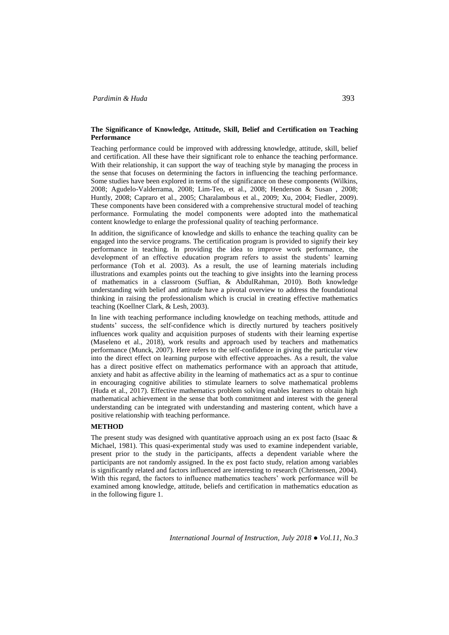# **The Significance of Knowledge, Attitude, Skill, Belief and Certification on Teaching Performance**

Teaching performance could be improved with addressing knowledge, attitude, skill, belief and certification. All these have their significant role to enhance the teaching performance. With their relationship, it can support the way of teaching style by managing the process in the sense that focuses on determining the factors in influencing the teaching performance. Some studies have been explored in terms of the significance on these components (Wilkins, 2008; Agudelo-Valderrama, 2008; Lim-Teo, et al., 2008; Henderson & Susan , 2008; Huntly, 2008; Capraro et al., 2005; Charalambous et al., 2009; Xu, 2004; Fiedler, 2009). These components have been considered with a comprehensive structural model of teaching performance. Formulating the model components were adopted into the mathematical content knowledge to enlarge the professional quality of teaching performance.

In addition, the significance of knowledge and skills to enhance the teaching quality can be engaged into the service programs. The certification program is provided to signify their key performance in teaching. In providing the idea to improve work performance, the development of an effective education program refers to assist the students' learning performance (Toh et al. 2003). As a result, the use of learning materials including illustrations and examples points out the teaching to give insights into the learning process of mathematics in a classroom (Suffian, & AbdulRahman, 2010). Both knowledge understanding with belief and attitude have a pivotal overview to address the foundational thinking in raising the professionalism which is crucial in creating effective mathematics teaching (Koellner Clark, & Lesh, 2003).

In line with teaching performance including knowledge on teaching methods, attitude and students' success, the self-confidence which is directly nurtured by teachers positively influences work quality and acquisition purposes of students with their learning expertise (Maseleno et al., 2018), work results and approach used by teachers and mathematics performance (Munck, 2007). Here refers to the self-confidence in giving the particular view into the direct effect on learning purpose with effective approaches. As a result, the value has a direct positive effect on mathematics performance with an approach that attitude, anxiety and habit as affective ability in the learning of mathematics act as a spur to continue in encouraging cognitive abilities to stimulate learners to solve mathematical problems (Huda et al., 2017). Effective mathematics problem solving enables learners to obtain high mathematical achievement in the sense that both commitment and interest with the general understanding can be integrated with understanding and mastering content, which have a positive relationship with teaching performance.

# **METHOD**

The present study was designed with quantitative approach using an ex post facto (Isaac & Michael, 1981). This quasi-experimental study was used to examine independent variable, present prior to the study in the participants, affects a dependent variable where the participants are not randomly assigned. In the ex post facto study, relation among variables is significantly related and factors influenced are interesting to research (Christensen, 2004). With this regard, the factors to influence mathematics teachers' work performance will be examined among knowledge, attitude, beliefs and certification in mathematics education as in the following figure 1.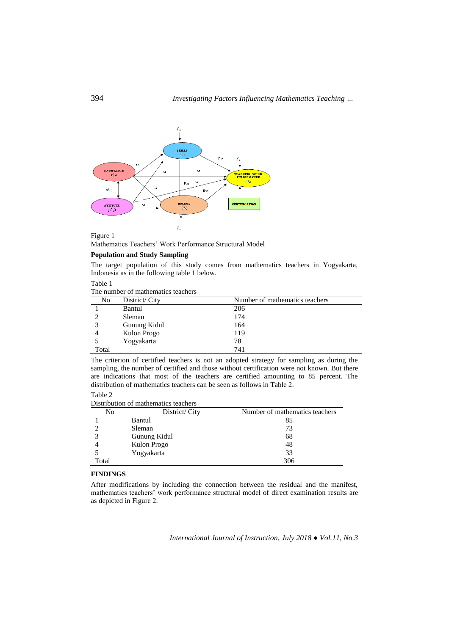

Figure 1

Mathematics Teachers' Work Performance Structural Model

### **Population and Study Sampling**

The target population of this study comes from mathematics teachers in Yogyakarta, Indonesia as in the following table 1 below.

# Table 1

The number of mathematics teachers

| No    | District/City | Number of mathematics teachers |
|-------|---------------|--------------------------------|
|       | Bantul        | 206                            |
|       | Sleman        | 174                            |
|       | Gunung Kidul  | 164                            |
|       | Kulon Progo   | 119                            |
|       | Yogyakarta    | 78                             |
| Total |               | 741                            |

The criterion of certified teachers is not an adopted strategy for sampling as during the sampling, the number of certified and those without certification were not known. But there are indications that most of the teachers are certified amounting to 85 percent. The distribution of mathematics teachers can be seen as follows in Table 2.

### Table 2

Distribution of mathematics teachers

| No    | District/City | Number of mathematics teachers |
|-------|---------------|--------------------------------|
|       | Bantul        | 85                             |
|       | Sleman        | 73                             |
|       | Gunung Kidul  | 68                             |
|       | Kulon Progo   | 48                             |
|       | Yogyakarta    | 33                             |
| Total |               | 306                            |

#### **FINDINGS**

After modifications by including the connection between the residual and the manifest, mathematics teachers' work performance structural model of direct examination results are as depicted in Figure 2.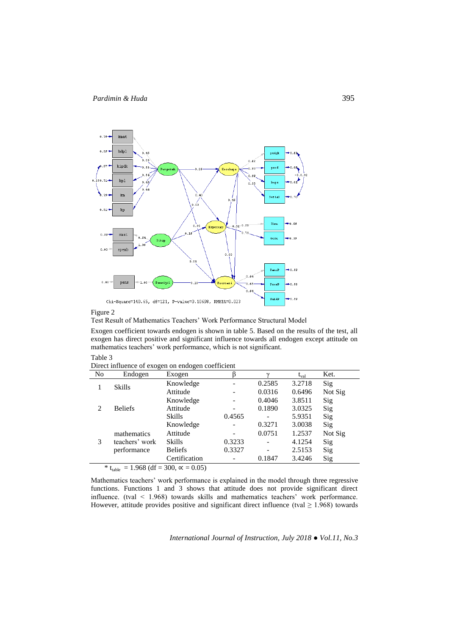

#### Figure 2

Test Result of Mathematics Teachers' Work Performance Structural Model

Exogen coefficient towards endogen is shown in table 5. Based on the results of the test, all exogen has direct positive and significant influence towards all endogen except attitude on mathematics teachers' work performance, which is not significant.

#### Table 3

| Direct influence of exogen on endogen coefficient |  |  |
|---------------------------------------------------|--|--|
|                                                   |  |  |

| N <sub>o</sub>                                                                             | Endogen        | Exogen         |        | $\gamma$ | $t_{val}$ | Ket.    |
|--------------------------------------------------------------------------------------------|----------------|----------------|--------|----------|-----------|---------|
|                                                                                            | <b>Skills</b>  | Knowledge      |        | 0.2585   | 3.2718    | Sig     |
|                                                                                            |                | Attitude       |        | 0.0316   | 0.6496    | Not Sig |
|                                                                                            |                | Knowledge      |        | 0.4046   | 3.8511    | Sig     |
| $\overline{2}$                                                                             | <b>Beliefs</b> | Attitude       |        | 0.1890   | 3.0325    | Sig     |
|                                                                                            |                | <b>Skills</b>  | 0.4565 |          | 5.9351    | Sig     |
| 3                                                                                          | mathematics    | Knowledge      |        | 0.3271   | 3.0038    | Sig     |
|                                                                                            |                | Attitude       |        | 0.0751   | 1.2537    | Not Sig |
|                                                                                            | teachers' work | <b>Skills</b>  | 0.3233 |          | 4.1254    | Sig     |
|                                                                                            | performance    | <b>Beliefs</b> | 0.3327 | -        | 2.5153    | Sig     |
|                                                                                            |                | Certification  |        | 0.1847   | 3.4246    | Sig     |
| $1.050 \pm 10$<br>als a<br>$\mathcal{A} \cap \mathcal{A}$ . $\mathcal{A} \cap \mathcal{A}$ |                |                |        |          |           |         |

\* t<sub>table</sub> = 1.968 (df = 300,  $\alpha$  = 0.05)

Mathematics teachers' work performance is explained in the model through three regressive functions. Functions 1 and 3 shows that attitude does not provide significant direct influence. (tval < 1.968) towards skills and mathematics teachers' work performance. However, attitude provides positive and significant direct influence (tval  $\geq 1.968$ ) towards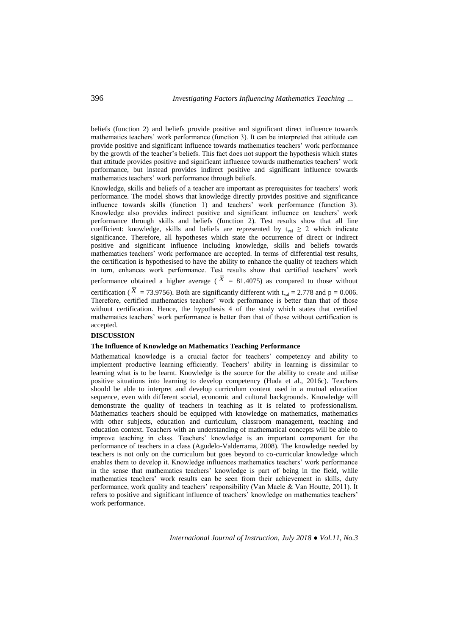beliefs (function 2) and beliefs provide positive and significant direct influence towards mathematics teachers' work performance (function 3). It can be interpreted that attitude can provide positive and significant influence towards mathematics teachers' work performance by the growth of the teacher's beliefs. This fact does not support the hypothesis which states that attitude provides positive and significant influence towards mathematics teachers' work performance, but instead provides indirect positive and significant influence towards mathematics teachers' work performance through beliefs.

Knowledge, skills and beliefs of a teacher are important as prerequisites for teachers' work performance. The model shows that knowledge directly provides positive and significance influence towards skills (function 1) and teachers' work performance (function 3). Knowledge also provides indirect positive and significant influence on teachers' work performance through skills and beliefs (function 2). Test results show that all line coefficient: knowledge, skills and beliefs are represented by  $t_{val} \ge 2$  which indicate significance. Therefore, all hypotheses which state the occurrence of direct or indirect positive and significant influence including knowledge, skills and beliefs towards mathematics teachers' work performance are accepted. In terms of differential test results, the certification is hypothesised to have the ability to enhance the quality of teachers which in turn, enhances work performance. Test results show that certified teachers' work

performance obtained a higher average ( $\chi$  = 81.4075) as compared to those without

certification ( $\bar{x}$  = 73.9756). Both are significantly different with t<sub>val</sub> = 2.778 and p = 0.006. Therefore, certified mathematics teachers' work performance is better than that of those without certification. Hence, the hypothesis 4 of the study which states that certified mathematics teachers' work performance is better than that of those without certification is accepted.

#### **DISCUSSION**

### **The Influence of Knowledge on Mathematics Teaching Performance**

Mathematical knowledge is a crucial factor for teachers' competency and ability to implement productive learning efficiently. Teachers' ability in learning is dissimilar to learning what is to be learnt. Knowledge is the source for the ability to create and utilise positive situations into learning to develop competency (Huda et al., 2016c). Teachers should be able to interpret and develop curriculum content used in a mutual education sequence, even with different social, economic and cultural backgrounds. Knowledge will demonstrate the quality of teachers in teaching as it is related to professionalism. Mathematics teachers should be equipped with knowledge on mathematics, mathematics with other subjects, education and curriculum, classroom management, teaching and education context. Teachers with an understanding of mathematical concepts will be able to improve teaching in class. Teachers' knowledge is an important component for the performance of teachers in a class (Agudelo-Valderrama, 2008). The knowledge needed by teachers is not only on the curriculum but goes beyond to co-curricular knowledge which enables them to develop it. Knowledge influences mathematics teachers' work performance in the sense that mathematics teachers' knowledge is part of being in the field, while mathematics teachers' work results can be seen from their achievement in skills, duty performance, work quality and teachers' responsibility (Van Maele & Van Houtte, 2011). It refers to positive and significant influence of teachers' knowledge on mathematics teachers' work performance.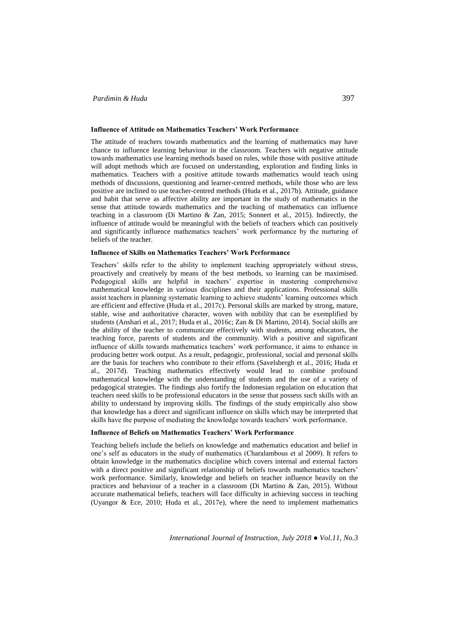## **Influence of Attitude on Mathematics Teachers' Work Performance**

The attitude of teachers towards mathematics and the learning of mathematics may have chance to influence learning behaviour in the classroom. Teachers with negative attitude towards mathematics use learning methods based on rules, while those with positive attitude will adopt methods which are focused on understanding, exploration and finding links in mathematics. Teachers with a positive attitude towards mathematics would teach using methods of discussions, questioning and learner-centred methods, while those who are less positive are inclined to use teacher-centred methods (Huda et al., 2017b). Attitude, guidance and habit that serve as affective ability are important in the study of mathematics in the sense that attitude towards mathematics and the teaching of mathematics can influence teaching in a classroom (Di Martino & Zan, 2015; Sonnert et al., 2015). Indirectly, the influence of attitude would be meaningful with the beliefs of teachers which can positively and significantly influence mathematics teachers' work performance by the nurturing of beliefs of the teacher.

## **Influence of Skills on Mathematics Teachers' Work Performance**

Teachers' skills refer to the ability to implement teaching appropriately without stress, proactively and creatively by means of the best methods, so learning can be maximised. Pedagogical skills are helpful in teachers' expertise in mastering comprehensive mathematical knowledge in various disciplines and their applications. Professional skills assist teachers in planning systematic learning to achieve students' learning outcomes which are efficient and effective (Huda et al., 2017c). Personal skills are marked by strong, mature, stable, wise and authoritative character, woven with nobility that can be exemplified by students (Anshari et al., 2017; Huda et al., 2016c; Zan & Di Martino, 2014). Social skills are the ability of the teacher to communicate effectively with students, among educators, the teaching force, parents of students and the community. With a positive and significant influence of skills towards mathematics teachers' work performance, it aims to enhance in producing better work output. As a result, pedagogic, professional, social and personal skills are the basis for teachers who contribute to their efforts (Savelsbergh et al., 2016; Huda et al., 2017d). Teaching mathematics effectively would lead to combine profound mathematical knowledge with the understanding of students and the use of a variety of pedagogical strategies. The findings also fortify the Indonesian regulation on education that teachers need skills to be professional educators in the sense that possess such skills with an ability to understand by improving skills. The findings of the study empirically also show that knowledge has a direct and significant influence on skills which may be interpreted that skills have the purpose of mediating the knowledge towards teachers' work performance.

# **Influence of Beliefs on Mathematics Teachers' Work Performance**

Teaching beliefs include the beliefs on knowledge and mathematics education and belief in one's self as educators in the study of mathematics (Charalambous et al 2009). It refers to obtain knowledge in the mathematics discipline which covers internal and external factors with a direct positive and significant relationship of beliefs towards mathematics teachers' work performance. Similarly, knowledge and beliefs on teacher influence heavily on the practices and behaviour of a teacher in a classroom (Di Martino & Zan, 2015). Without accurate mathematical beliefs, teachers will face difficulty in achieving success in teaching (Uyangor & Ece, 2010; Huda et al., 2017e), where the need to implement mathematics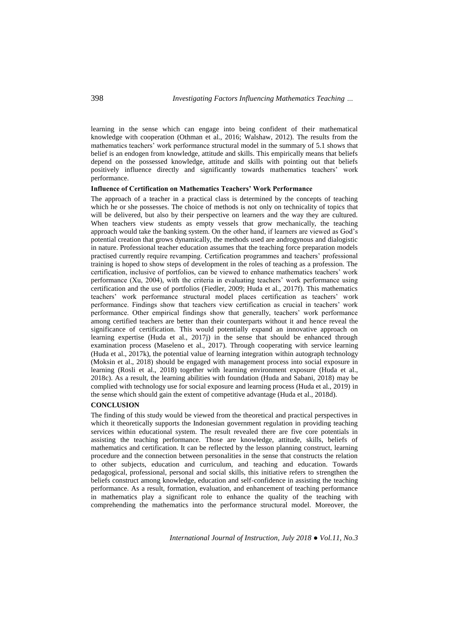learning in the sense which can engage into being confident of their mathematical knowledge with cooperation (Othman et al., 2016; Walshaw, 2012). The results from the mathematics teachers' work performance structural model in the summary of 5.1 shows that belief is an endogen from knowledge, attitude and skills. This empirically means that beliefs depend on the possessed knowledge, attitude and skills with pointing out that beliefs positively influence directly and significantly towards mathematics teachers' work performance.

#### **Influence of Certification on Mathematics Teachers' Work Performance**

The approach of a teacher in a practical class is determined by the concepts of teaching which he or she possesses. The choice of methods is not only on technicality of topics that will be delivered, but also by their perspective on learners and the way they are cultured. When teachers view students as empty vessels that grow mechanically, the teaching approach would take the banking system. On the other hand, if learners are viewed as God's potential creation that grows dynamically, the methods used are androgynous and dialogistic in nature. Professional teacher education assumes that the teaching force preparation models practised currently require revamping. Certification programmes and teachers' professional training is hoped to show steps of development in the roles of teaching as a profession. The certification, inclusive of portfolios, can be viewed to enhance mathematics teachers' work performance (Xu, 2004), with the criteria in evaluating teachers' work performance using certification and the use of portfolios (Fiedler, 2009; Huda et al., 2017f). This mathematics teachers' work performance structural model places certification as teachers' work performance. Findings show that teachers view certification as crucial in teachers' work performance. Other empirical findings show that generally, teachers' work performance among certified teachers are better than their counterparts without it and hence reveal the significance of certification. This would potentially expand an innovative approach on learning expertise (Huda et al., 2017j) in the sense that should be enhanced through examination process (Maseleno et al., 2017). Through cooperating with service learning (Huda et al., 2017k), the potential value of learning integration within autograph technology (Moksin et al., 2018) should be engaged with management process into social exposure in learning (Rosli et al., 2018) together with learning environment exposure (Huda et al., 2018c). As a result, the learning abilities with foundation (Huda and Sabani, 2018) may be complied with technology use for social exposure and learning process (Huda et al., 2019) in the sense which should gain the extent of competitive advantage (Huda et al., 2018d).

## **CONCLUSION**

The finding of this study would be viewed from the theoretical and practical perspectives in which it theoretically supports the Indonesian government regulation in providing teaching services within educational system. The result revealed there are five core potentials in assisting the teaching performance. Those are knowledge, attitude, skills, beliefs of mathematics and certification. It can be reflected by the lesson planning construct, learning procedure and the connection between personalities in the sense that constructs the relation to other subjects, education and curriculum, and teaching and education. Towards pedagogical, professional, personal and social skills, this initiative refers to strengthen the beliefs construct among knowledge, education and self-confidence in assisting the teaching performance. As a result, formation, evaluation, and enhancement of teaching performance in mathematics play a significant role to enhance the quality of the teaching with comprehending the mathematics into the performance structural model. Moreover, the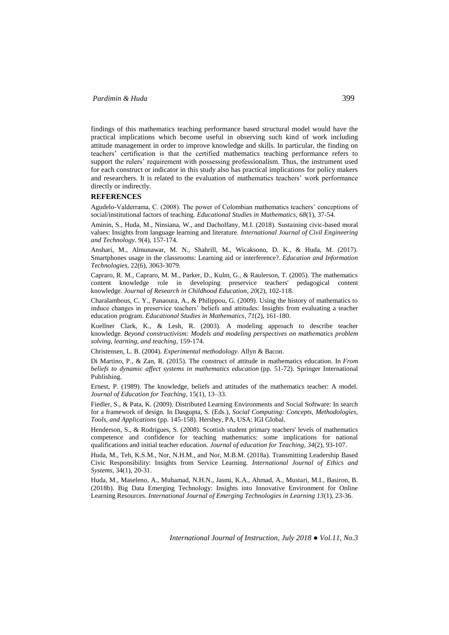# *Pardimin & Huda* 399

findings of this mathematics teaching performance based structural model would have the practical implications which become useful in observing such kind of work including attitude management in order to improve knowledge and skills. In particular, the finding on teachers' certification is that the certified mathematics teaching performance refers to support the rulers' requirement with possessing professionalism. Thus, the instrument used for each construct or indicator in this study also has practical implications for policy makers and researchers. It is related to the evaluation of mathematics teachers' work performance directly or indirectly.

### **REFERENCES**

Agudelo-Valderrama, C. (2008). The power of Colombian mathematics teachers' conceptions of social/institutional factors of teaching. *Educational Studies in Mathematics*, *68*(1), 37-54.

Aminin, S., Huda, M., Ninsiana, W., and Dacholfany, M.I. (2018). Sustaining civic-based moral values: Insights from language learning and literature. *International Journal of Civil Engineering and Technology*. 9(4), 157-174.

Anshari, M., Almunawar, M. N., Shahrill, M., Wicaksono, D. K., & Huda, M. (2017). Smartphones usage in the classrooms: Learning aid or interference?. *Education and Information Technologies*, 22(6), 3063-3079.

Capraro, R. M., Capraro, M. M., Parker, D., Kulm, G., & Raulerson, T. (2005). The mathematics content knowledge role in developing preservice teachers' pedagogical content knowledge. *Journal of Research in Childhood Education*, *20*(2), 102-118.

Charalambous, C. Y., Panaoura, A., & Philippou, G. (2009). Using the history of mathematics to induce changes in preservice teachers' beliefs and attitudes: Insights from evaluating a teacher education program. *Educational Studies in Mathematics*, *71*(2), 161-180.

Koellner Clark, K., & Lesh, R. (2003). A modeling approach to describe teacher knowledge. *Beyond constructivism: Models and modeling perspectives on mathematics problem solving, learning, and teaching*, 159-174.

Christensen, L. B. (2004). *Experimental methodology*. Allyn & Bacon.

Di Martino, P., & Zan, R. (2015). The construct of attitude in mathematics education. In *From beliefs to dynamic affect systems in mathematics education* (pp. 51-72). Springer International Publishing.

Ernest, P. (1989). The knowledge, beliefs and attitudes of the mathematics teacher: A model. *Journal of Education for Teaching*, 15(1), 13–33.

Fiedler, S., & Pata, K. (2009). Distributed Learning Environments and Social Software: In search for a framework of design. In Dasgupta, S. (Eds.), *Social Computing: Concepts, Methodologies, Tools, and Applications* (pp. 145-158). Hershey, PA, USA: IGI Global.

Henderson, S., & Rodrigues, S. (2008). Scottish student primary teachers' levels of mathematics competence and confidence for teaching mathematics: some implications for national qualifications and initial teacher education. *Journal of education for Teaching*, *34*(2), 93-107.

Huda, M., Teh, K.S.M., Nor, N.H.M., and Nor, M.B.M. (2018a). Transmitting Leadership Based Civic Responsibility: Insights from Service Learning. *International Journal of Ethics and Systems*, 34(1), 20-31.

Huda, M., Maseleno, A., Muhamad, N.H.N., Jasmi, K.A., Ahmad, A., Mustari, M.I., Basiron, B. (2018b). Big Data Emerging Technology: Insights into Innovative Environment for Online Learning Resources. *International Journal of Emerging Technologies in Learning 13*(1), 23-36.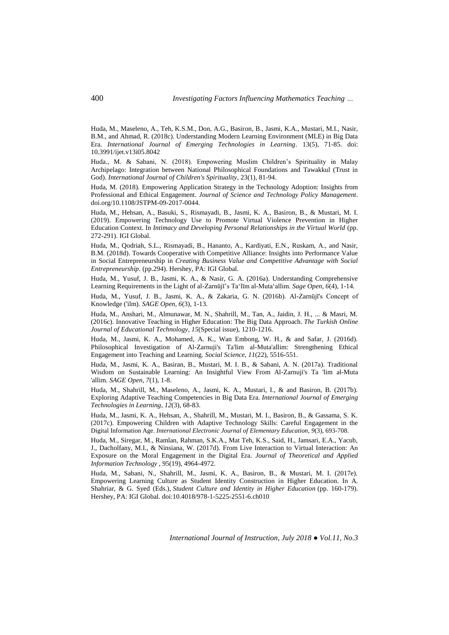Huda, M., Maseleno, A., Teh, K.S.M., Don, A.G., Basiron, B., Jasmi, K.A., Mustari, M.I., Nasir, B.M., and Ahmad, R. (2018c). Understanding Modern Learning Environment (MLE) in Big Data Era. *International Journal of Emerging Technologies in Learning*. 13(5), 71-85. doi: 10.3991/ijet.v13i05.8042

Huda., M. & Sabani, N. (2018). Empowering Muslim Children's Spirituality in Malay Archipelago: Integration between National Philosophical Foundations and Tawakkul (Trust in God). *International Journal of Children's Spirituality*, 23(1), 81-94.

Huda, M. (2018). Empowering Application Strategy in the Technology Adoption: Insights from Professional and Ethical Engagement. *Journal of Science and Technology Policy Management*. doi.org/10.1108/JSTPM-09-2017-0044.

Huda, M., Hehsan, A., Basuki, S., Rismayadi, B., Jasmi, K. A., Basiron, B., & Mustari, M. I. (2019). Empowering Technology Use to Promote Virtual Violence Prevention in Higher Education Context. In *Intimacy and Developing Personal Relationships in the Virtual World* (pp. 272-291). IGI Global.

Huda, M., Qodriah, S.L., Rismayadi, B., Hananto, A., Kardiyati, E.N., Ruskam, A., and Nasir, B.M. (2018d). Towards Cooperative with Competitive Alliance: Insights into Performance Value in Social Entrepreneurship in *Creating Business Value and Competitive Advantage with Social Entrepreneurship*. (pp.294). Hershey, PA: IGI Global.

Huda, M., Yusuf, J. B., Jasmi, K. A., & Nasir, G. A. (2016a). Understanding Comprehensive Learning Requirements in the Light of al-Zarnūjī's Taʻlīm al-Mutaʻallim. *Sage Open*, *6*(4), 1-14.

Huda, M., Yusuf, J. B., Jasmi, K. A., & Zakaria, G. N. (2016b). Al-Zarnūjī's Concept of Knowledge ('ilm). *SAGE Open*, *6*(3), 1-13.

Huda, M., Anshari, M., Almunawar, M. N., Shahrill, M., Tan, A., Jaidin, J. H., ... & Masri, M. (2016c). Innovative Teaching in Higher Education: The Big Data Approach. *The Turkish Online Journal of Educational Technology*, *15*(Special issue), 1210-1216.

Huda, M., Jasmi, K. A., Mohamed, A. K., Wan Embong, W. H., & and Safar, J. (2016d). Philosophical Investigation of Al-Zarnuji's Ta'lim al-Muta'allim: Strengthening Ethical Engagement into Teaching and Learning. *Social Science*, *11*(22), 5516-551.

Huda, M., Jasmi, K. A., Basiran, B., Mustari, M. I. B., & Sabani, A. N. (2017a). Traditional Wisdom on Sustainable Learning: An Insightful View From Al-Zarnuji's Ta 'lim al-Muta 'allim. *SAGE Open*, *7*(1), 1-8.

Huda, M., Shahrill, M., Maseleno, A., Jasmi, K. A., Mustari, I., & and Basiron, B. (2017b). Exploring Adaptive Teaching Competencies in Big Data Era. *International Journal of Emerging Technologies in Learning*, *12*(3), 68-83.

Huda, M., Jasmi, K. A., Hehsan, A., Shahrill, M., Mustari, M. I., Basiron, B., & Gassama, S. K. (2017c). Empowering Children with Adaptive Technology Skills: Careful Engagement in the Digital Information Age. *International Electronic Journal of Elementary Education*, *9*(3), 693-708.

Huda, M., Siregar, M., Ramlan, Rahman, S.K.A., Mat Teh, K.S., Said, H., Jamsari, E.A., Yacub, J., Dacholfany, M.I., & Ninsiana, W. (2017d). From Live Interaction to Virtual Interaction: An Exposure on the Moral Engagement in the Digital Era. *Journal of Theoretical and Applied Information Technology* , 95(19), 4964-4972.

Huda, M., Sabani, N., Shahrill, M., Jasmi, K. A., Basiron, B., & Mustari, M. I. (2017e). Empowering Learning Culture as Student Identity Construction in Higher Education. In A. Shahriar, & G. Syed (Eds.), *Student Culture and Identity in Higher Education* (pp. 160-179). Hershey, PA: IGI Global. doi:10.4018/978-1-5225-2551-6.ch010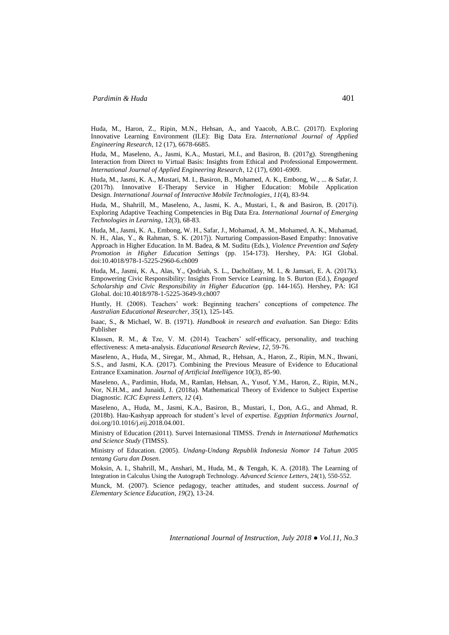Huda, M., Haron, Z., Ripin, M.N., Hehsan, A., and Yaacob, A.B.C. (2017f). Exploring Innovative Learning Environment (ILE): Big Data Era. *International Journal of Applied Engineering Research*, 12 (17), 6678-6685.

Huda, M., Maseleno, A., Jasmi, K.A., Mustari, M.I., and Basiron, B. (2017g). Strengthening Interaction from Direct to Virtual Basis: Insights from Ethical and Professional Empowerment. *International Journal of Applied Engineering Research*, 12 (17), 6901-6909.

Huda, M., Jasmi, K. A., Mustari, M. I., Basiron, B., Mohamed, A. K., Embong, W., ... & Safar, J. (2017h). Innovative E-Therapy Service in Higher Education: Mobile Application Design. *International Journal of Interactive Mobile Technologies*, *11*(4), 83-94.

Huda, M., Shahrill, M., Maseleno, A., Jasmi, K. A., Mustari, I., & and Basiron, B. (2017i). Exploring Adaptive Teaching Competencies in Big Data Era. *International Journal of Emerging Technologies in Learning*, 12(3), 68-83.

Huda, M., Jasmi, K. A., Embong, W. H., Safar, J., Mohamad, A. M., Mohamed, A. K., Muhamad, N. H., Alas, Y., & Rahman, S. K. (2017j). Nurturing Compassion-Based Empathy: Innovative Approach in Higher Education. In M. Badea, & M. Suditu (Eds.), *Violence Prevention and Safety Promotion in Higher Education Settings* (pp. 154-173). Hershey, PA: IGI Global. doi:10.4018/978-1-5225-2960-6.ch009

Huda, M., Jasmi, K. A., Alas, Y., Qodriah, S. L., Dacholfany, M. I., & Jamsari, E. A. (2017k). Empowering Civic Responsibility: Insights From Service Learning. In S. Burton (Ed.), *Engaged Scholarship and Civic Responsibility in Higher Education* (pp. 144-165). Hershey, PA: IGI Global. doi:10.4018/978-1-5225-3649-9.ch007

Huntly, H. (2008). Teachers' work: Beginning teachers' conceptions of competence. *The Australian Educational Researcher*, *35*(1), 125-145.

Isaac, S., & Michael, W. B. (1971). *Handbook in research and evaluation*. San Diego: Edits Publisher

Klassen, R. M., & Tze, V. M. (2014). Teachers' self-efficacy, personality, and teaching effectiveness: A meta-analysis. *Educational Research Review*, *12*, 59-76.

Maseleno, A., Huda, M., Siregar, M., Ahmad, R., Hehsan, A., Haron, Z., Ripin, M.N., Ihwani, S.S., and Jasmi, K.A. (2017). Combining the Previous Measure of Evidence to Educational Entrance Examination. *Journal of Artificial Intelligence* 10(3), 85-90.

Maseleno, A., Pardimin, Huda, M., Ramlan, Hehsan, A., Yusof, Y.M., Haron, Z., Ripin, M.N., Nor, N.H.M., and Junaidi, J. (2018a). Mathematical Theory of Evidence to Subject Expertise Diagnostic*. ICIC Express Letters, 12* (4).

Maseleno, A., Huda, M., Jasmi, K.A., Basiron, B., Mustari, I., Don, A.G., and Ahmad, R. (2018b). Hau-Kashyap approach for student's level of expertise. *Egyptian Informatics Journal*, doi.org/10.1016/j.eij.2018.04.001.

Ministry of Education (2011). Survei Internasional TIMSS. *Trends in International Mathematics and Science Study* (TIMSS).

Ministry of Education. (2005). *Undang-Undang Republik Indonesia Nomor 14 Tahun 2005 tentang Guru dan Dosen.*

Moksin, A. I., Shahrill, M., Anshari, M., Huda, M., & Tengah, K. A. (2018). The Learning of Integration in Calculus Using the Autograph Technology. *Advanced Science Letters*, 24(1), 550-552.

Munck, M. (2007). Science pedagogy, teacher attitudes, and student success. *Journal of Elementary Science Education*, *19*(2), 13-24.